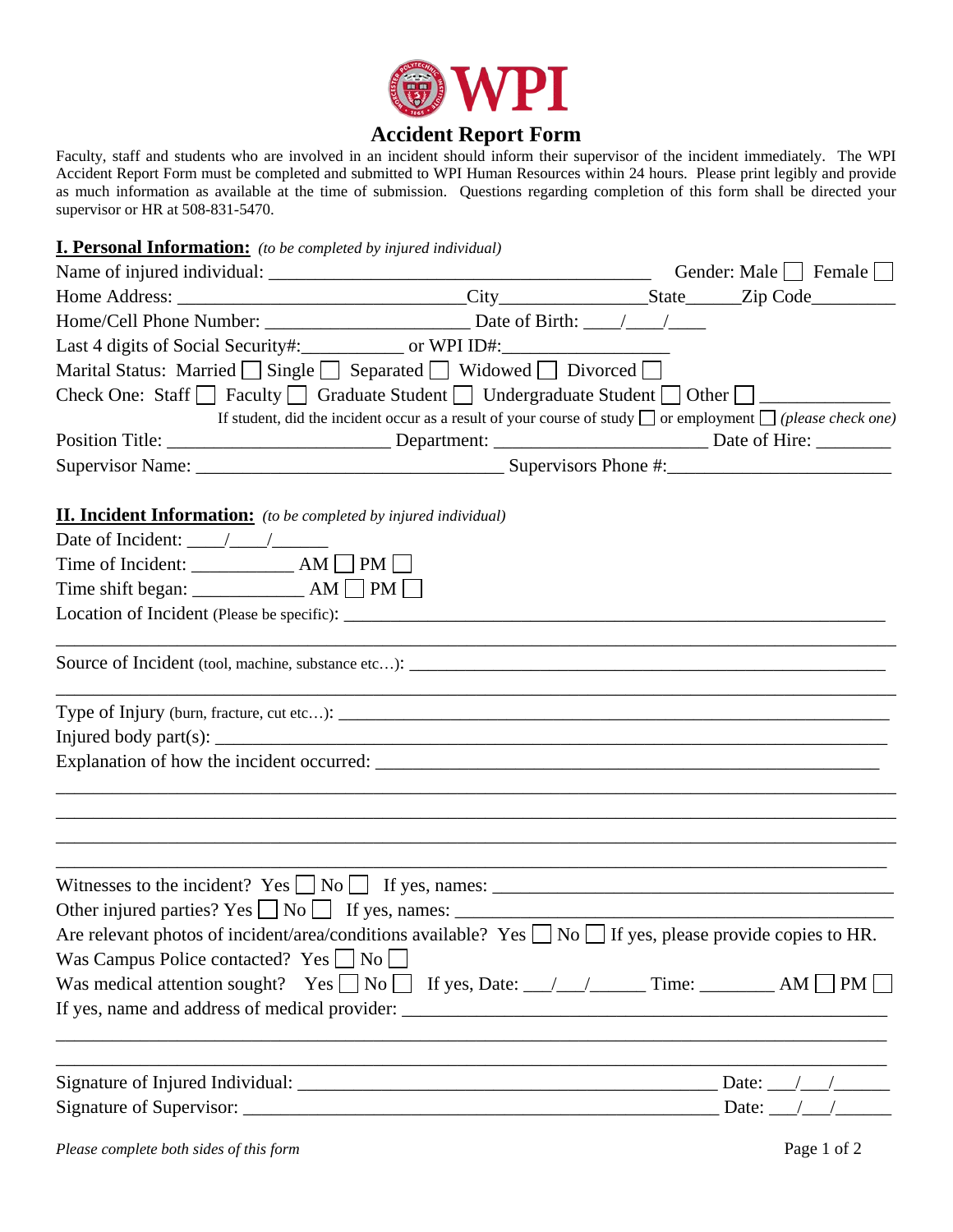

## **Accident Report Form**

Faculty, staff and students who are involved in an incident should inform their supervisor of the incident immediately. The WPI Accident Report Form must be completed and submitted to WPI Human Resources within 24 hours. Please print legibly and provide as much information as available at the time of submission. Questions regarding completion of this form shall be directed your supervisor or HR at 508-831-5470.

## **I. Personal Information:** *(to be completed by injured individual)*

| Last 4 digits of Social Security#: ________________ or WPI ID#: _________________                                     |                                                                                   |  |
|-----------------------------------------------------------------------------------------------------------------------|-----------------------------------------------------------------------------------|--|
| Marital Status: Married $\Box$ Single $\Box$ Separated $\Box$ Widowed $\Box$ Divorced $\Box$                          |                                                                                   |  |
| Check One: Staff $\Box$ Faculty $\Box$ Graduate Student $\Box$ Undergraduate Student $\Box$ Other $\Box$              |                                                                                   |  |
| If student, did the incident occur as a result of your course of study $\Box$ or employment $\Box$ (please check one) |                                                                                   |  |
|                                                                                                                       |                                                                                   |  |
|                                                                                                                       |                                                                                   |  |
| <b>II. Incident Information:</b> (to be completed by injured individual)                                              |                                                                                   |  |
| Date of Incident: $\frac{\sqrt{1-\frac{1}{2}}}{\sqrt{1-\frac{1}{2}}}}$                                                |                                                                                   |  |
|                                                                                                                       |                                                                                   |  |
| Time shift began: ______________ AM _ PM _                                                                            |                                                                                   |  |
|                                                                                                                       |                                                                                   |  |
|                                                                                                                       |                                                                                   |  |
| Source of Incident (tool, machine, substance etc):                                                                    |                                                                                   |  |
|                                                                                                                       |                                                                                   |  |
|                                                                                                                       |                                                                                   |  |
|                                                                                                                       |                                                                                   |  |
|                                                                                                                       |                                                                                   |  |
|                                                                                                                       |                                                                                   |  |
| Witnesses to the incident? $Yes \Box No \Box$ If yes, names: $\Box$                                                   |                                                                                   |  |
|                                                                                                                       |                                                                                   |  |
| Are relevant photos of incident/area/conditions available? Yes $\Box$ No $\Box$ If yes, please provide copies to HR.  |                                                                                   |  |
| Was Campus Police contacted? Yes $\Box$ No $\Box$                                                                     |                                                                                   |  |
| Was medical attention sought? Yes $\Box$ No $\Box$ If yes, Date: $\Box/\Box/\Box$ Time: $\Box$ AM $\Box$ PM $\Box$    |                                                                                   |  |
|                                                                                                                       |                                                                                   |  |
|                                                                                                                       | ,我们也不能在这里的时候,我们也不能在这里的时候,我们也不能会在这里的时候,我们也不能会在这里的时候,我们也不能会在这里的时候,我们也不能会在这里的时候,我们也不 |  |
|                                                                                                                       |                                                                                   |  |
|                                                                                                                       |                                                                                   |  |